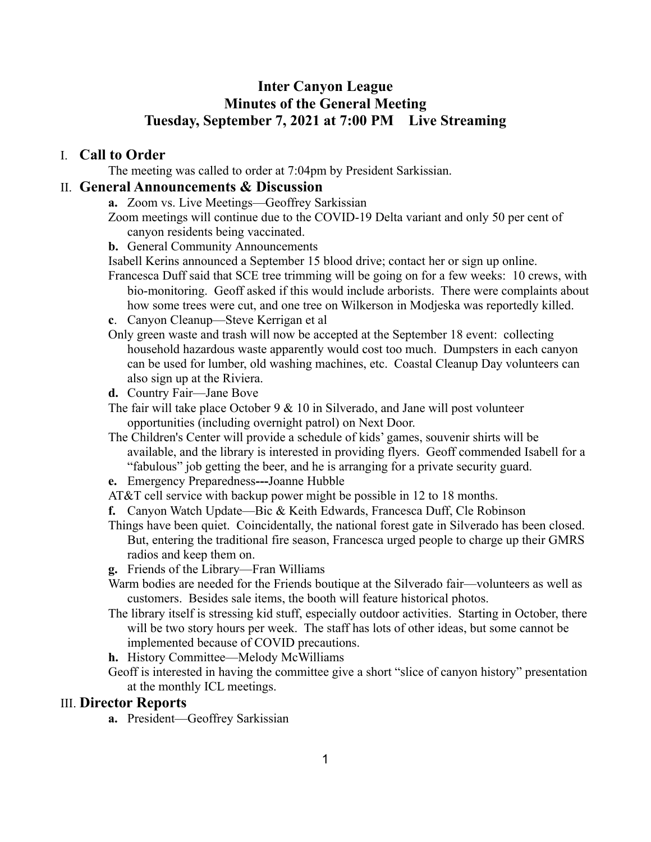# **Inter Canyon League Minutes of the General Meeting Tuesday, September 7, 2021 at 7:00 PM Live Streaming**

## I. **Call to Order**

The meeting was called to order at 7:04pm by President Sarkissian.

# II. **General Announcements & Discussion**

**a.** Zoom vs. Live Meetings—Geoffrey Sarkissian

Zoom meetings will continue due to the COVID-19 Delta variant and only 50 per cent of canyon residents being vaccinated.

**b.** General Community Announcements

Isabell Kerins announced a September 15 blood drive; contact her or sign up online.

- Francesca Duff said that SCE tree trimming will be going on for a few weeks: 10 crews, with bio-monitoring. Geoff asked if this would include arborists. There were complaints about how some trees were cut, and one tree on Wilkerson in Modjeska was reportedly killed.
- **c**. Canyon Cleanup—Steve Kerrigan et al
- Only green waste and trash will now be accepted at the September 18 event: collecting household hazardous waste apparently would cost too much. Dumpsters in each canyon can be used for lumber, old washing machines, etc. Coastal Cleanup Day volunteers can also sign up at the Riviera.
- **d.** Country Fair—Jane Bove
- The fair will take place October  $9 & 10$  in Silverado, and Jane will post volunteer opportunities (including overnight patrol) on Next Door.
- The Children's Center will provide a schedule of kids' games, souvenir shirts will be available, and the library is interested in providing flyers. Geoff commended Isabell for a "fabulous" job getting the beer, and he is arranging for a private security guard.
- **e.** Emergency Preparedness**---**Joanne Hubble
- AT&T cell service with backup power might be possible in 12 to 18 months.
- **f.** Canyon Watch Update—Bic & Keith Edwards, Francesca Duff, Cle Robinson
- Things have been quiet. Coincidentally, the national forest gate in Silverado has been closed. But, entering the traditional fire season, Francesca urged people to charge up their GMRS radios and keep them on.
- **g.** Friends of the Library—Fran Williams
- Warm bodies are needed for the Friends boutique at the Silverado fair—volunteers as well as customers. Besides sale items, the booth will feature historical photos.
- The library itself is stressing kid stuff, especially outdoor activities. Starting in October, there will be two story hours per week. The staff has lots of other ideas, but some cannot be implemented because of COVID precautions.
- **h.** History Committee—Melody McWilliams
- Geoff is interested in having the committee give a short "slice of canyon history" presentation at the monthly ICL meetings.

#### III. **Director Reports**

**a.** President—Geoffrey Sarkissian